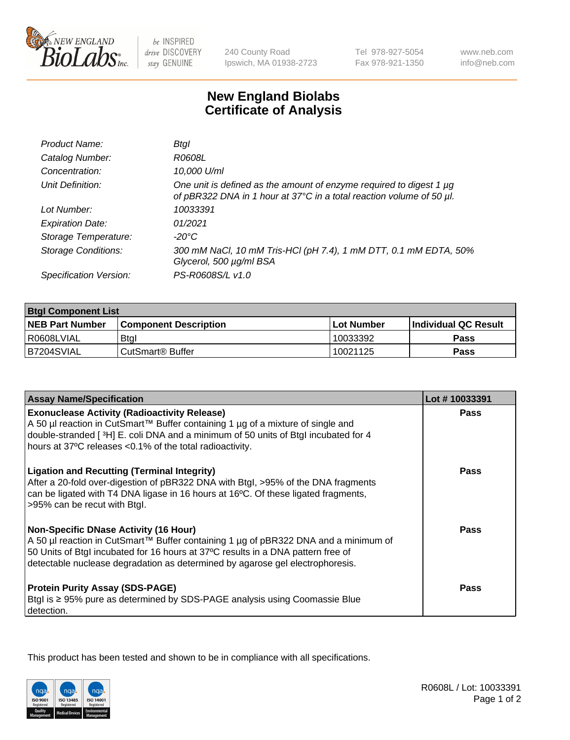

be INSPIRED drive DISCOVERY stay GENUINE

240 County Road Ipswich, MA 01938-2723 Tel 978-927-5054 Fax 978-921-1350

www.neb.com info@neb.com

## **New England Biolabs Certificate of Analysis**

| Product Name:              | <b>Btgl</b>                                                                                                                                      |
|----------------------------|--------------------------------------------------------------------------------------------------------------------------------------------------|
| Catalog Number:            | R0608L                                                                                                                                           |
| Concentration:             | 10,000 U/ml                                                                                                                                      |
| Unit Definition:           | One unit is defined as the amount of enzyme required to digest 1 $\mu$ g<br>of pBR322 DNA in 1 hour at 37°C in a total reaction volume of 50 µl. |
| Lot Number:                | 10033391                                                                                                                                         |
| <b>Expiration Date:</b>    | 01/2021                                                                                                                                          |
| Storage Temperature:       | -20°C                                                                                                                                            |
| <b>Storage Conditions:</b> | 300 mM NaCl, 10 mM Tris-HCl (pH 7.4), 1 mM DTT, 0.1 mM EDTA, 50%<br>Glycerol, 500 µg/ml BSA                                                      |
| Specification Version:     | PS-R0608S/L v1.0                                                                                                                                 |

| <b>Btgl Component List</b> |                              |              |                             |  |
|----------------------------|------------------------------|--------------|-----------------------------|--|
| <b>NEB Part Number</b>     | <b>Component Description</b> | l Lot Number | <b>Individual QC Result</b> |  |
| I R0608LVIAL               | <b>Btgl</b>                  | 10033392     | Pass                        |  |
| B7204SVIAL                 | l CutSmart® Buffer           | 10021125     | Pass                        |  |

| <b>Assay Name/Specification</b>                                                                                                                                                                                                                                                                          | Lot #10033391 |
|----------------------------------------------------------------------------------------------------------------------------------------------------------------------------------------------------------------------------------------------------------------------------------------------------------|---------------|
| <b>Exonuclease Activity (Radioactivity Release)</b><br>A 50 µl reaction in CutSmart™ Buffer containing 1 µg of a mixture of single and                                                                                                                                                                   | <b>Pass</b>   |
| double-stranded [3H] E. coli DNA and a minimum of 50 units of Btgl incubated for 4<br>hours at 37°C releases <0.1% of the total radioactivity.                                                                                                                                                           |               |
| <b>Ligation and Recutting (Terminal Integrity)</b><br>After a 20-fold over-digestion of pBR322 DNA with Btgl, >95% of the DNA fragments<br>can be ligated with T4 DNA ligase in 16 hours at 16°C. Of these ligated fragments,<br>>95% can be recut with Btgl.                                            | <b>Pass</b>   |
| <b>Non-Specific DNase Activity (16 Hour)</b><br>A 50 µl reaction in CutSmart™ Buffer containing 1 µg of pBR322 DNA and a minimum of<br>50 Units of Btgl incubated for 16 hours at 37°C results in a DNA pattern free of<br>detectable nuclease degradation as determined by agarose gel electrophoresis. | Pass          |
| <b>Protein Purity Assay (SDS-PAGE)</b><br>Btgl is ≥ 95% pure as determined by SDS-PAGE analysis using Coomassie Blue<br>detection.                                                                                                                                                                       | Pass          |

This product has been tested and shown to be in compliance with all specifications.